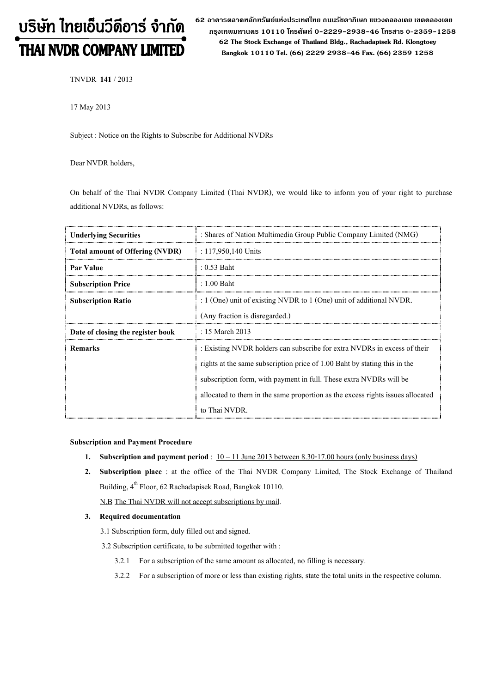# บริษัท ไทยเอ็นวีดีอาร์ จำกัด THAI NVDR COMPANY LIMITED

62 อาดารตลาดหลักทรัพย์แห่งประเทศไทย ถนนรัซดาภิเษก แขวงดลองเตย เขตดลองเตย กรุงเทพมหานดร 10110 โทรศัพท์ 0-2229-2938-46 โทรสาร 0-2359-1258 62 The Stock Exchange of Thailand Bldg., Rachadapisek Rd. Klongtoey Bangkok 10110 Tel. (66) 2229 2938-46 Fax. (66) 2359 1258

TNVDR 141 / 2013

17 May 2013

Subject : Notice on the Rights to Subscribe for Additional NVDRs

Dear NVDR holders,

On behalf of the Thai NVDR Company Limited (Thai NVDR), we would like to inform you of your right to purchase additional NVDRs, as follows:

| <b>Underlying Securities</b>           | : Shares of Nation Multimedia Group Public Company Limited (NMG)               |
|----------------------------------------|--------------------------------------------------------------------------------|
| <b>Total amount of Offering (NVDR)</b> | : $117,950,140$ Units                                                          |
| Par Value                              | $: 0.53$ Baht                                                                  |
| <b>Subscription Price</b>              | $: 1.00$ Baht                                                                  |
| <b>Subscription Ratio</b>              | : $1$ (One) unit of existing NVDR to $1$ (One) unit of additional NVDR.        |
|                                        | (Any fraction is disregarded.)                                                 |
| Date of closing the register book      | : 15 March 2013                                                                |
| <b>Remarks</b>                         | : Existing NVDR holders can subscribe for extra NVDRs in excess of their       |
|                                        | rights at the same subscription price of 1.00 Baht by stating this in the      |
|                                        | subscription form, with payment in full. These extra NVDRs will be             |
|                                        | allocated to them in the same proportion as the excess rights issues allocated |
|                                        | to Thai NVDR.                                                                  |

### Subscription and Payment Procedure

- 1. Subscription and payment period :  $10 11$  June 2013 between 8.30-17.00 hours (only business days)
- 2. Subscription place : at the office of the Thai NVDR Company Limited, The Stock Exchange of Thailand Building, 4<sup>th</sup> Floor, 62 Rachadapisek Road, Bangkok 10110.

N.B The Thai NVDR will not accept subscriptions by mail.

## 3. Required documentation

- 3.1 Subscription form, duly filled out and signed.
- 3.2 Subscription certificate, to be submitted together with :
	- 3.2.1 For a subscription of the same amount as allocated, no filling is necessary.
	- 3.2.2 For a subscription of more or less than existing rights, state the total units in the respective column.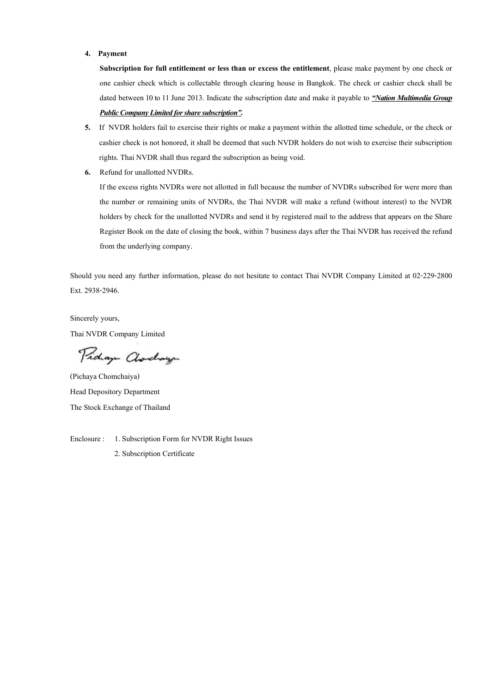#### 4. Payment

Subscription for full entitlement or less than or excess the entitlement, please make payment by one check or one cashier check which is collectable through clearing house in Bangkok. The check or cashier check shall be dated between 10 to 11 June 2013. Indicate the subscription date and make it payable to "Nation Multimedia Group Public Company Limited for share subscription".

- 5. If NVDR holders fail to exercise their rights or make a payment within the allotted time schedule, or the check or cashier check is not honored, it shall be deemed that such NVDR holders do not wish to exercise their subscription rights. Thai NVDR shall thus regard the subscription as being void.
- 6. Refund for unallotted NVDRs.

If the excess rights NVDRs were not allotted in full because the number of NVDRs subscribed for were more than the number or remaining units of NVDRs, the Thai NVDR will make a refund (without interest) to the NVDR holders by check for the unallotted NVDRs and send it by registered mail to the address that appears on the Share Register Book on the date of closing the book, within 7 business days after the Thai NVDR has received the refund from the underlying company.

Should you need any further information, please do not hesitate to contact Thai NVDR Company Limited at 02-229-2800 Ext. 2938-2946.

Sincerely yours, Thai NVDR Company Limited

Proham Clorchayn

(Pichaya Chomchaiya) Head Depository Department The Stock Exchange of Thailand

Enclosure : 1. Subscription Form for NVDR Right Issues 2. Subscription Certificate